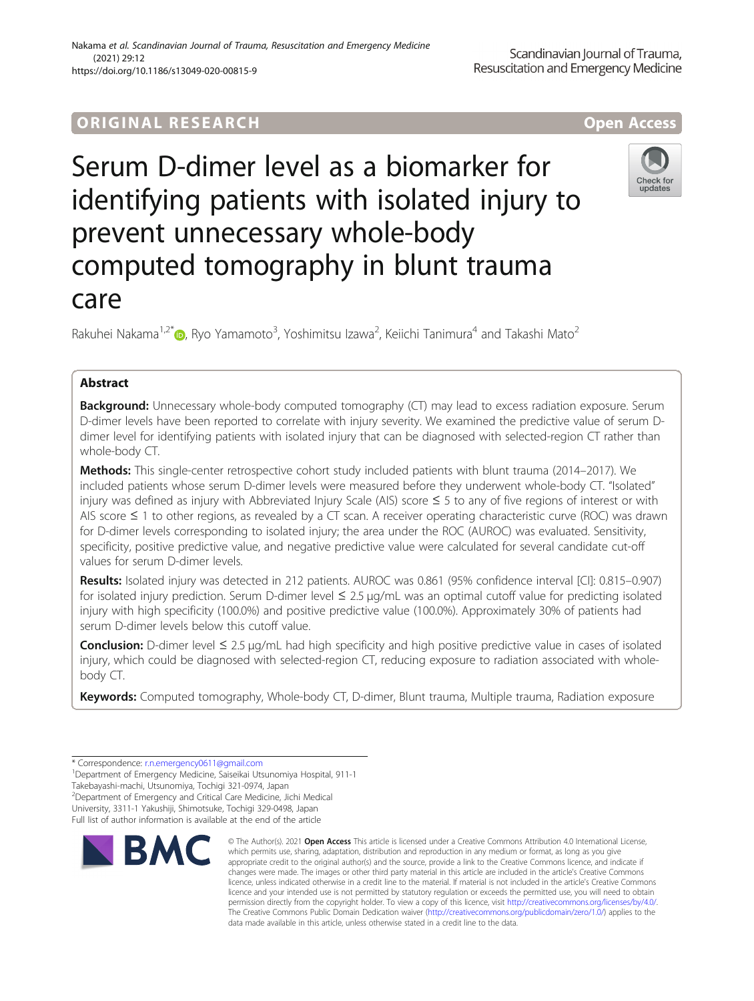# ORIGINA L R E S EA RCH Open Access

Serum D-dimer level as a biomarker for identifying patients with isolated injury to prevent unnecessary whole-body computed tomography in blunt trauma care

Rakuhei Nakama<sup>1,2\*</sup>®, Ryo Yamamoto<sup>3</sup>, Yoshimitsu Izawa<sup>2</sup>, Keiichi Tanimura<sup>4</sup> and Takashi Mato<sup>2</sup>

# Abstract

**Background:** Unnecessary whole-body computed tomography (CT) may lead to excess radiation exposure. Serum D-dimer levels have been reported to correlate with injury severity. We examined the predictive value of serum Ddimer level for identifying patients with isolated injury that can be diagnosed with selected-region CT rather than whole-body CT.

Methods: This single-center retrospective cohort study included patients with blunt trauma (2014–2017). We included patients whose serum D-dimer levels were measured before they underwent whole-body CT. "Isolated" injury was defined as injury with Abbreviated Injury Scale (AIS) score ≤ 5 to any of five regions of interest or with AIS score ≤ 1 to other regions, as revealed by a CT scan. A receiver operating characteristic curve (ROC) was drawn for D-dimer levels corresponding to isolated injury; the area under the ROC (AUROC) was evaluated. Sensitivity, specificity, positive predictive value, and negative predictive value were calculated for several candidate cut-off values for serum D-dimer levels.

Results: Isolated injury was detected in 212 patients. AUROC was 0.861 (95% confidence interval [CI]: 0.815–0.907) for isolated injury prediction. Serum D-dimer level ≤ 2.5 μg/mL was an optimal cutoff value for predicting isolated injury with high specificity (100.0%) and positive predictive value (100.0%). Approximately 30% of patients had serum D-dimer levels below this cutoff value.

**Conclusion:** D-dimer level  $\leq 2.5 \mu q/mL$  had high specificity and high positive predictive value in cases of isolated injury, which could be diagnosed with selected-region CT, reducing exposure to radiation associated with wholebody CT.

Keywords: Computed tomography, Whole-body CT, D-dimer, Blunt trauma, Multiple trauma, Radiation exposure

**RMC** 

2 Department of Emergency and Critical Care Medicine, Jichi Medical

University, 3311-1 Yakushiji, Shimotsuke, Tochigi 329-0498, Japan

Full list of author information is available at the end of the article



appropriate credit to the original author(s) and the source, provide a link to the Creative Commons licence, and indicate if changes were made. The images or other third party material in this article are included in the article's Creative Commons licence, unless indicated otherwise in a credit line to the material. If material is not included in the article's Creative Commons licence and your intended use is not permitted by statutory regulation or exceeds the permitted use, you will need to obtain permission directly from the copyright holder. To view a copy of this licence, visit [http://creativecommons.org/licenses/by/4.0/.](http://creativecommons.org/licenses/by/4.0/) The Creative Commons Public Domain Dedication waiver [\(http://creativecommons.org/publicdomain/zero/1.0/](http://creativecommons.org/publicdomain/zero/1.0/)) applies to the data made available in this article, unless otherwise stated in a credit line to the data.





<sup>\*</sup> Correspondence: [r.n.emergency0611@gmail.com](mailto:r.n.emergency0611@gmail.com) <sup>1</sup>

<sup>&</sup>lt;sup>1</sup>Department of Emergency Medicine, Saiseikai Utsunomiya Hospital, 911-1 Takebayashi-machi, Utsunomiya, Tochigi 321-0974, Japan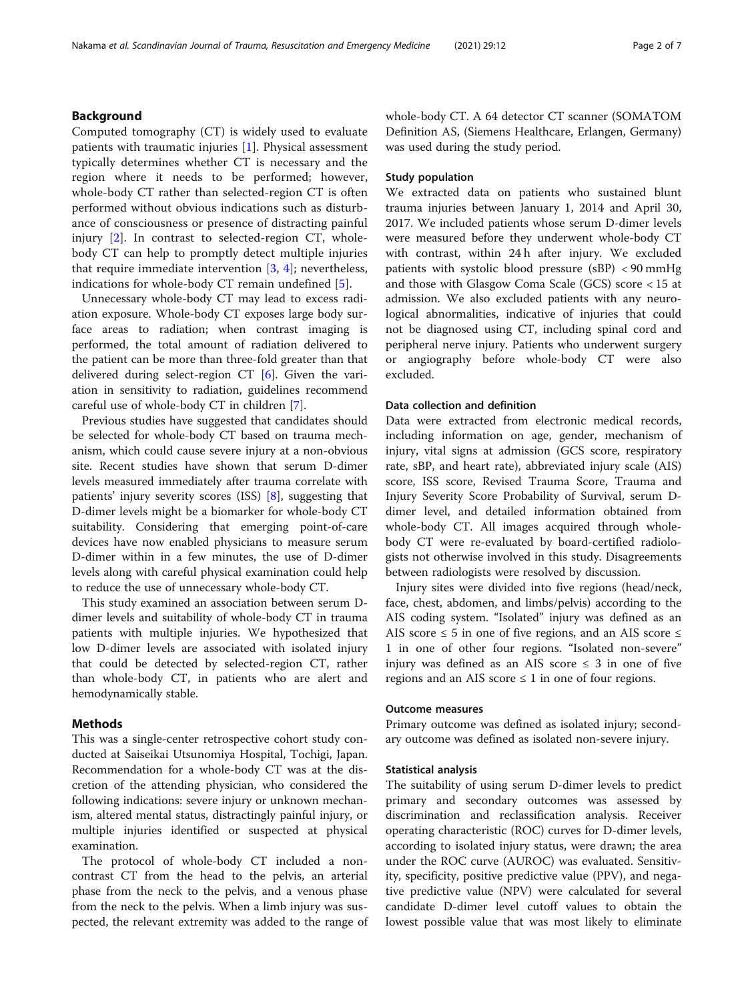# Background

Computed tomography (CT) is widely used to evaluate patients with traumatic injuries [\[1](#page-5-0)]. Physical assessment typically determines whether CT is necessary and the region where it needs to be performed; however, whole-body CT rather than selected-region CT is often performed without obvious indications such as disturbance of consciousness or presence of distracting painful injury [[2\]](#page-5-0). In contrast to selected-region CT, wholebody CT can help to promptly detect multiple injuries that require immediate intervention [[3](#page-5-0), [4\]](#page-5-0); nevertheless, indications for whole-body CT remain undefined [[5\]](#page-5-0).

Unnecessary whole-body CT may lead to excess radiation exposure. Whole-body CT exposes large body surface areas to radiation; when contrast imaging is performed, the total amount of radiation delivered to the patient can be more than three-fold greater than that delivered during select-region CT [\[6](#page-5-0)]. Given the variation in sensitivity to radiation, guidelines recommend careful use of whole-body CT in children [[7\]](#page-5-0).

Previous studies have suggested that candidates should be selected for whole-body CT based on trauma mechanism, which could cause severe injury at a non-obvious site. Recent studies have shown that serum D-dimer levels measured immediately after trauma correlate with patients' injury severity scores (ISS) [[8\]](#page-5-0), suggesting that D-dimer levels might be a biomarker for whole-body CT suitability. Considering that emerging point-of-care devices have now enabled physicians to measure serum D-dimer within in a few minutes, the use of D-dimer levels along with careful physical examination could help to reduce the use of unnecessary whole-body CT.

This study examined an association between serum Ddimer levels and suitability of whole-body CT in trauma patients with multiple injuries. We hypothesized that low D-dimer levels are associated with isolated injury that could be detected by selected-region CT, rather than whole-body CT, in patients who are alert and hemodynamically stable.

# Methods

This was a single-center retrospective cohort study conducted at Saiseikai Utsunomiya Hospital, Tochigi, Japan. Recommendation for a whole-body CT was at the discretion of the attending physician, who considered the following indications: severe injury or unknown mechanism, altered mental status, distractingly painful injury, or multiple injuries identified or suspected at physical examination.

The protocol of whole-body CT included a noncontrast CT from the head to the pelvis, an arterial phase from the neck to the pelvis, and a venous phase from the neck to the pelvis. When a limb injury was suspected, the relevant extremity was added to the range of whole-body CT. A 64 detector CT scanner (SOMATOM Definition AS, (Siemens Healthcare, Erlangen, Germany) was used during the study period.

# Study population

We extracted data on patients who sustained blunt trauma injuries between January 1, 2014 and April 30, 2017. We included patients whose serum D-dimer levels were measured before they underwent whole-body CT with contrast, within 24 h after injury. We excluded patients with systolic blood pressure (sBP) < 90 mmHg and those with Glasgow Coma Scale (GCS) score < 15 at admission. We also excluded patients with any neurological abnormalities, indicative of injuries that could not be diagnosed using CT, including spinal cord and peripheral nerve injury. Patients who underwent surgery or angiography before whole-body CT were also excluded.

# Data collection and definition

Data were extracted from electronic medical records, including information on age, gender, mechanism of injury, vital signs at admission (GCS score, respiratory rate, sBP, and heart rate), abbreviated injury scale (AIS) score, ISS score, Revised Trauma Score, Trauma and Injury Severity Score Probability of Survival, serum Ddimer level, and detailed information obtained from whole-body CT. All images acquired through wholebody CT were re-evaluated by board-certified radiologists not otherwise involved in this study. Disagreements between radiologists were resolved by discussion.

Injury sites were divided into five regions (head/neck, face, chest, abdomen, and limbs/pelvis) according to the AIS coding system. "Isolated" injury was defined as an AIS score  $\leq$  5 in one of five regions, and an AIS score  $\leq$ 1 in one of other four regions. "Isolated non-severe" injury was defined as an AIS score  $\leq$  3 in one of five regions and an AIS score  $\leq 1$  in one of four regions.

# Outcome measures

Primary outcome was defined as isolated injury; secondary outcome was defined as isolated non-severe injury.

# Statistical analysis

The suitability of using serum D-dimer levels to predict primary and secondary outcomes was assessed by discrimination and reclassification analysis. Receiver operating characteristic (ROC) curves for D-dimer levels, according to isolated injury status, were drawn; the area under the ROC curve (AUROC) was evaluated. Sensitivity, specificity, positive predictive value (PPV), and negative predictive value (NPV) were calculated for several candidate D-dimer level cutoff values to obtain the lowest possible value that was most likely to eliminate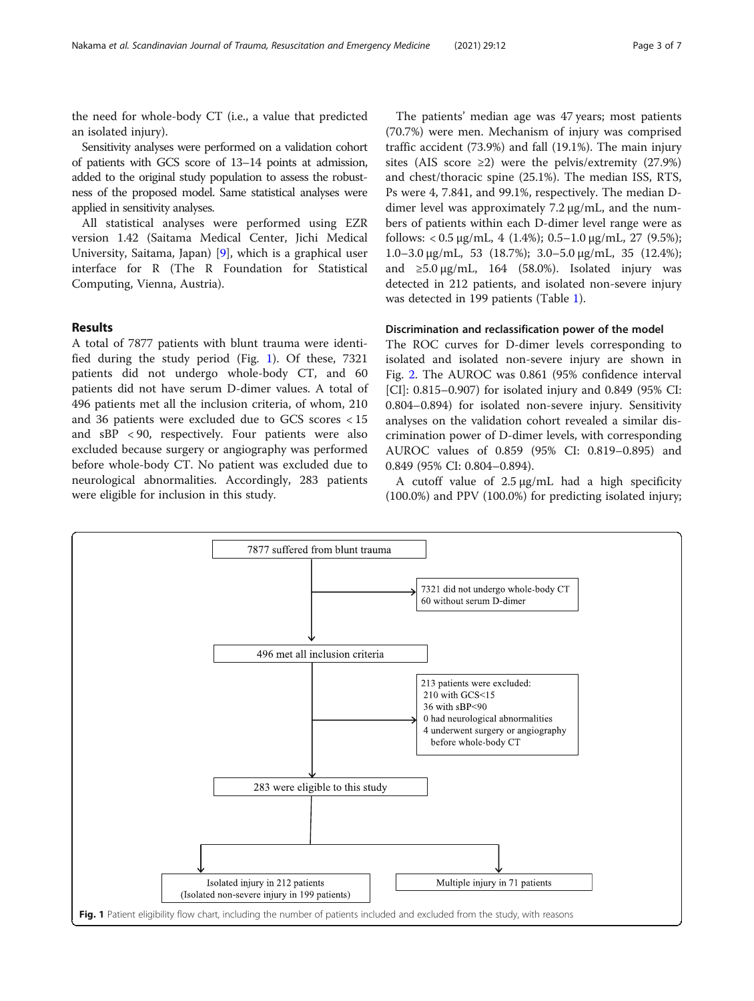the need for whole-body CT (i.e., a value that predicted an isolated injury).

Sensitivity analyses were performed on a validation cohort of patients with GCS score of 13–14 points at admission, added to the original study population to assess the robustness of the proposed model. Same statistical analyses were applied in sensitivity analyses.

All statistical analyses were performed using EZR version 1.42 (Saitama Medical Center, Jichi Medical University, Saitama, Japan) [[9\]](#page-5-0), which is a graphical user interface for R (The R Foundation for Statistical Computing, Vienna, Austria).

# Results

A total of 7877 patients with blunt trauma were identified during the study period (Fig. 1). Of these, 7321 patients did not undergo whole-body CT, and 60 patients did not have serum D-dimer values. A total of 496 patients met all the inclusion criteria, of whom, 210 and 36 patients were excluded due to GCS scores < 15 and sBP < 90, respectively. Four patients were also excluded because surgery or angiography was performed before whole-body CT. No patient was excluded due to neurological abnormalities. Accordingly, 283 patients were eligible for inclusion in this study.

The patients' median age was 47 years; most patients (70.7%) were men. Mechanism of injury was comprised traffic accident (73.9%) and fall (19.1%). The main injury sites (AIS score  $\geq$ 2) were the pelvis/extremity (27.9%) and chest/thoracic spine (25.1%). The median ISS, RTS, Ps were 4, 7.841, and 99.1%, respectively. The median Ddimer level was approximately 7.2 μg/mL, and the numbers of patients within each D-dimer level range were as follows:  $< 0.5 \mu g/mL$ , 4 (1.4%); 0.5–1.0  $\mu g/mL$ , 27 (9.5%); 1.0–3.0 μg/mL, 53 (18.7%); 3.0–5.0 μg/mL, 35 (12.4%); and  $\geq 5.0 \,\mu$ g/mL, 164 (58.0%). Isolated injury was detected in 212 patients, and isolated non-severe injury was detected in 199 patients (Table [1\)](#page-3-0).

# Discrimination and reclassification power of the model

The ROC curves for D-dimer levels corresponding to isolated and isolated non-severe injury are shown in Fig. [2.](#page-4-0) The AUROC was 0.861 (95% confidence interval [CI]: 0.815–0.907) for isolated injury and 0.849 (95% CI: 0.804–0.894) for isolated non-severe injury. Sensitivity analyses on the validation cohort revealed a similar discrimination power of D-dimer levels, with corresponding AUROC values of 0.859 (95% CI: 0.819–0.895) and 0.849 (95% CI: 0.804–0.894).

A cutoff value of 2.5 μg/mL had a high specificity (100.0%) and PPV (100.0%) for predicting isolated injury;

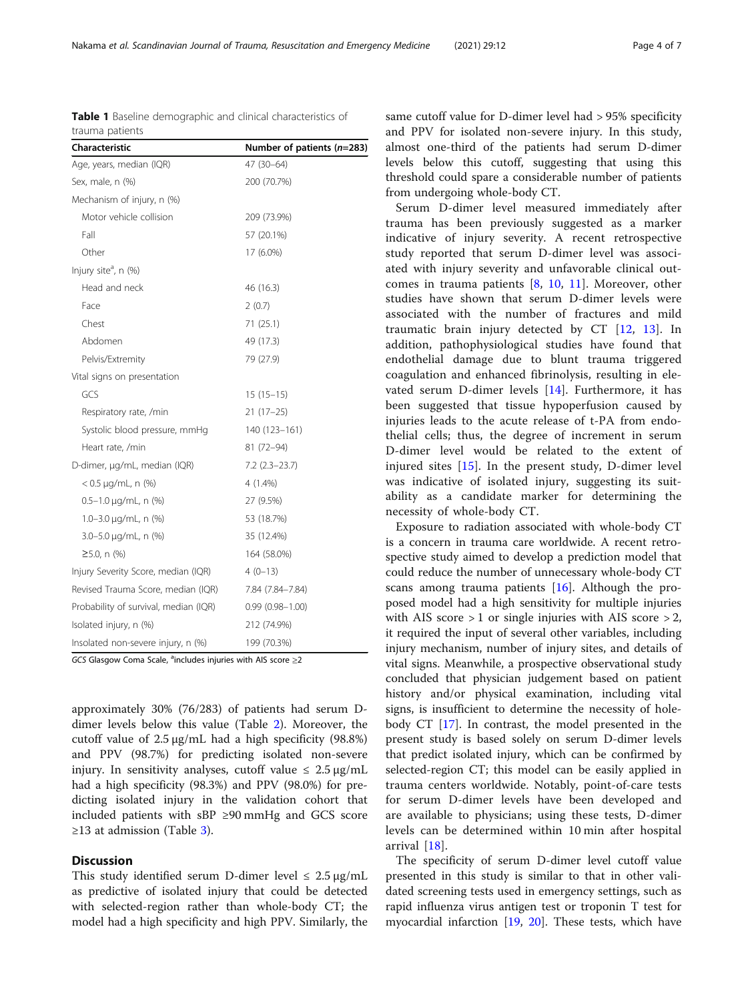approximately 30% (76/283) of patients had serum Ddimer levels below this value (Table [2](#page-4-0)). Moreover, the cutoff value of 2.5 μg/mL had a high specificity (98.8%) and PPV (98.7%) for predicting isolated non-severe injury. In sensitivity analyses, cutoff value  $\leq 2.5 \,\mu$ g/mL had a high specificity (98.3%) and PPV (98.0%) for predicting isolated injury in the validation cohort that included patients with sBP ≥90 mmHg and GCS score ≥1[3](#page-5-0) at admission (Table 3).

# **Discussion**

This study identified serum D-dimer level  $\leq 2.5 \,\mu$ g/mL as predictive of isolated injury that could be detected with selected-region rather than whole-body CT; the model had a high specificity and high PPV. Similarly, the same cutoff value for D-dimer level had > 95% specificity and PPV for isolated non-severe injury. In this study, almost one-third of the patients had serum D-dimer levels below this cutoff, suggesting that using this threshold could spare a considerable number of patients from undergoing whole-body CT.

Serum D-dimer level measured immediately after trauma has been previously suggested as a marker indicative of injury severity. A recent retrospective study reported that serum D-dimer level was associated with injury severity and unfavorable clinical outcomes in trauma patients [[8,](#page-5-0) [10](#page-5-0), [11\]](#page-5-0). Moreover, other studies have shown that serum D-dimer levels were associated with the number of fractures and mild traumatic brain injury detected by CT [[12,](#page-5-0) [13](#page-5-0)]. In addition, pathophysiological studies have found that endothelial damage due to blunt trauma triggered coagulation and enhanced fibrinolysis, resulting in elevated serum D-dimer levels [[14\]](#page-5-0). Furthermore, it has been suggested that tissue hypoperfusion caused by injuries leads to the acute release of t-PA from endothelial cells; thus, the degree of increment in serum D-dimer level would be related to the extent of injured sites [[15\]](#page-5-0). In the present study, D-dimer level was indicative of isolated injury, suggesting its suitability as a candidate marker for determining the necessity of whole-body CT.

Exposure to radiation associated with whole-body CT is a concern in trauma care worldwide. A recent retrospective study aimed to develop a prediction model that could reduce the number of unnecessary whole-body CT scans among trauma patients  $[16]$  $[16]$ . Although the proposed model had a high sensitivity for multiple injuries with AIS score  $> 1$  or single injuries with AIS score  $> 2$ , it required the input of several other variables, including injury mechanism, number of injury sites, and details of vital signs. Meanwhile, a prospective observational study concluded that physician judgement based on patient history and/or physical examination, including vital signs, is insufficient to determine the necessity of holebody CT [[17\]](#page-5-0). In contrast, the model presented in the present study is based solely on serum D-dimer levels that predict isolated injury, which can be confirmed by selected-region CT; this model can be easily applied in trauma centers worldwide. Notably, point-of-care tests for serum D-dimer levels have been developed and are available to physicians; using these tests, D-dimer levels can be determined within 10 min after hospital arrival [\[18](#page-6-0)].

The specificity of serum D-dimer level cutoff value presented in this study is similar to that in other validated screening tests used in emergency settings, such as rapid influenza virus antigen test or troponin T test for myocardial infarction [\[19](#page-6-0), [20\]](#page-6-0). These tests, which have

<span id="page-3-0"></span>Table 1 Baseline demographic and clinical characteristics of trauma patients

| Characteristic                                                                 | Number of patients (n=283) |  |  |  |
|--------------------------------------------------------------------------------|----------------------------|--|--|--|
| Age, years, median (IQR)                                                       | 47 (30-64)                 |  |  |  |
| Sex, male, n (%)                                                               | 200 (70.7%)                |  |  |  |
| Mechanism of injury, n (%)                                                     |                            |  |  |  |
| Motor vehicle collision                                                        | 209 (73.9%)                |  |  |  |
| Fall                                                                           | 57 (20.1%)                 |  |  |  |
| Other                                                                          | 17 (6.0%)                  |  |  |  |
| Injury site <sup>a</sup> , n (%)                                               |                            |  |  |  |
| Head and neck                                                                  | 46 (16.3)                  |  |  |  |
| Face                                                                           | 2(0.7)                     |  |  |  |
| Chest                                                                          | 71 (25.1)                  |  |  |  |
| Abdomen                                                                        | 49 (17.3)                  |  |  |  |
| Pelvis/Extremity                                                               | 79 (27.9)                  |  |  |  |
| Vital signs on presentation                                                    |                            |  |  |  |
| GCS                                                                            | $15(15-15)$                |  |  |  |
| Respiratory rate, /min                                                         | $21(17-25)$                |  |  |  |
| Systolic blood pressure, mmHg                                                  | 140 (123-161)              |  |  |  |
| Heart rate, /min                                                               | 81 (72-94)                 |  |  |  |
| D-dimer, µg/mL, median (IQR)                                                   | $7.2$ (2.3-23.7)           |  |  |  |
| $< 0.5 \mu q/mL$ , n (%)                                                       | $4(1.4\%)$                 |  |  |  |
| $0.5 - 1.0 \mu q/mL$ , n (%)                                                   | 27 (9.5%)                  |  |  |  |
| $1.0 - 3.0 \mu q/mL$ , n (%)                                                   | 53 (18.7%)                 |  |  |  |
| 3.0-5.0 µg/mL, n (%)                                                           | 35 (12.4%)                 |  |  |  |
| $≥5.0$ , n (%)                                                                 | 164 (58.0%)                |  |  |  |
| Injury Severity Score, median (IQR)                                            | $4(0-13)$                  |  |  |  |
| Revised Trauma Score, median (IQR)                                             | 7.84 (7.84-7.84)           |  |  |  |
| Probability of survival, median (IQR)                                          | $0.99(0.98 - 1.00)$        |  |  |  |
| Isolated injury, n (%)                                                         | 212 (74.9%)                |  |  |  |
| Insolated non-severe injury, n (%)                                             | 199 (70.3%)                |  |  |  |
| GCS Glasgow Coma Scale, <sup>a</sup> includes injuries with AIS score $\geq$ 2 |                            |  |  |  |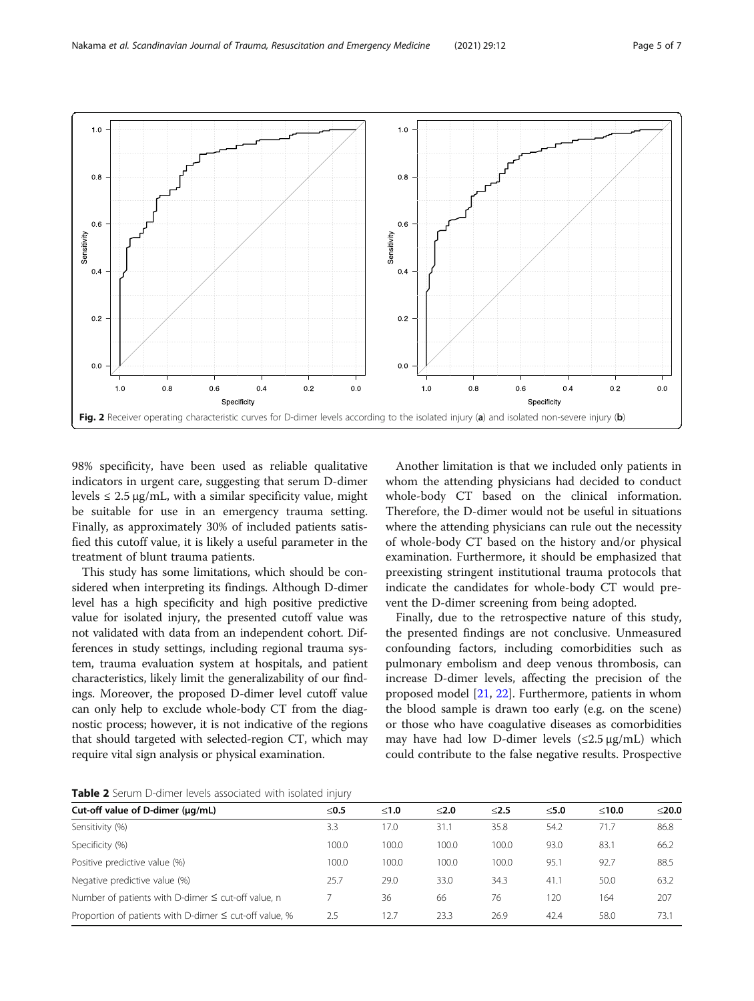<span id="page-4-0"></span>

98% specificity, have been used as reliable qualitative indicators in urgent care, suggesting that serum D-dimer levels  $\leq 2.5 \,\mu$ g/mL, with a similar specificity value, might be suitable for use in an emergency trauma setting. Finally, as approximately 30% of included patients satisfied this cutoff value, it is likely a useful parameter in the treatment of blunt trauma patients.

This study has some limitations, which should be considered when interpreting its findings. Although D-dimer level has a high specificity and high positive predictive value for isolated injury, the presented cutoff value was not validated with data from an independent cohort. Differences in study settings, including regional trauma system, trauma evaluation system at hospitals, and patient characteristics, likely limit the generalizability of our findings. Moreover, the proposed D-dimer level cutoff value can only help to exclude whole-body CT from the diagnostic process; however, it is not indicative of the regions that should targeted with selected-region CT, which may require vital sign analysis or physical examination.

Another limitation is that we included only patients in whom the attending physicians had decided to conduct whole-body CT based on the clinical information. Therefore, the D-dimer would not be useful in situations where the attending physicians can rule out the necessity of whole-body CT based on the history and/or physical examination. Furthermore, it should be emphasized that preexisting stringent institutional trauma protocols that indicate the candidates for whole-body CT would prevent the D-dimer screening from being adopted.

Finally, due to the retrospective nature of this study, the presented findings are not conclusive. Unmeasured confounding factors, including comorbidities such as pulmonary embolism and deep venous thrombosis, can increase D-dimer levels, affecting the precision of the proposed model [[21,](#page-6-0) [22\]](#page-6-0). Furthermore, patients in whom the blood sample is drawn too early (e.g. on the scene) or those who have coagulative diseases as comorbidities may have had low D-dimer levels  $(\leq 2.5 \,\mu\text{g/mL})$  which could contribute to the false negative results. Prospective

Table 2 Serum D-dimer levels associated with isolated injury

| Cut-off value of D-dimer (µq/mL)                            | ≤0.5  | < 1.0 | < 2.0 | $≤2.5$ | $<$ 5.0 | < 10.0 | $<$ 20.0 |
|-------------------------------------------------------------|-------|-------|-------|--------|---------|--------|----------|
| Sensitivity (%)                                             | 3.3   | 17.0  | 31.1  | 35.8   | 54.2    | 71.7   | 86.8     |
| Specificity (%)                                             | 100.0 | 100.0 | 100.0 | 100.0  | 93.0    | 83.1   | 66.2     |
| Positive predictive value (%)                               | 100.0 | 100.0 | 100.0 | 100.0  | 95.1    | 92.7   | 88.5     |
| Negative predictive value (%)                               | 25.7  | 29.0  | 33.0  | 34.3   | 41.1    | 50.0   | 63.2     |
| Number of patients with D-dimer $\leq$ cut-off value, n     |       | 36    | 66    | 76     | 20      | 164    | 207      |
| Proportion of patients with D-dimer $\leq$ cut-off value, % | 2.5   | 12.7  | 23.3  | 26.9   | 42.4    | 58.0   | 73.1     |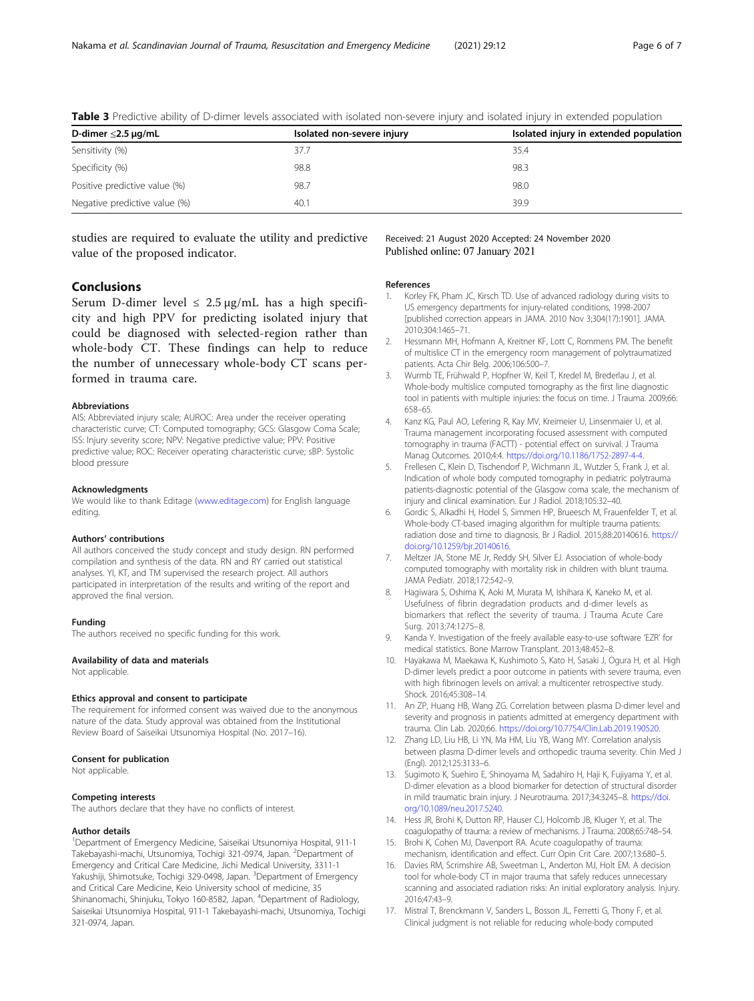| D-dimer $\leq$ 2.5 µg/mL      | Isolated non-severe injury | Isolated injury in extended population |
|-------------------------------|----------------------------|----------------------------------------|
| Sensitivity (%)               | 37.7                       | 35.4                                   |
| Specificity (%)               | 98.8                       | 98.3                                   |
| Positive predictive value (%) | 98.7                       | 98.0                                   |
| Negative predictive value (%) | 40.1                       | 39.9                                   |

<span id="page-5-0"></span>Table 3 Predictive ability of D-dimer levels associated with isolated non-severe injury and isolated injury in extended population

studies are required to evaluate the utility and predictive value of the proposed indicator.

# Received: 21 August 2020 Accepted: 24 November 2020 Published online: 07 January 2021

# Conclusions

Serum D-dimer level  $\leq 2.5 \mu g/mL$  has a high specificity and high PPV for predicting isolated injury that could be diagnosed with selected-region rather than whole-body CT. These findings can help to reduce the number of unnecessary whole-body CT scans performed in trauma care.

#### **Abbreviations**

AIS: Abbreviated injury scale; AUROC: Area under the receiver operating characteristic curve; CT: Computed tomography; GCS: Glasgow Coma Scale; ISS: Injury severity score; NPV: Negative predictive value; PPV: Positive predictive value; ROC: Receiver operating characteristic curve; sBP: Systolic blood pressure

#### Acknowledgments

We would like to thank Editage ([www.editage.com\)](http://www.editage.com) for English language editing.

#### Authors' contributions

All authors conceived the study concept and study design. RN performed compilation and synthesis of the data. RN and RY carried out statistical analyses. YI, KT, and TM supervised the research project. All authors participated in interpretation of the results and writing of the report and approved the final version.

#### Funding

The authors received no specific funding for this work.

#### Availability of data and materials

Not applicable.

#### Ethics approval and consent to participate

The requirement for informed consent was waived due to the anonymous nature of the data. Study approval was obtained from the Institutional Review Board of Saiseikai Utsunomiya Hospital (No. 2017–16).

### Consent for publication

Not applicable.

#### Competing interests

The authors declare that they have no conflicts of interest.

#### Author details

1 Department of Emergency Medicine, Saiseikai Utsunomiya Hospital, 911-1 Takebayashi-machi, Utsunomiya, Tochigi 321-0974, Japan. <sup>2</sup>Department of Emergency and Critical Care Medicine, Jichi Medical University, 3311-1 Yakushiji, Shimotsuke, Tochigi 329-0498, Japan. <sup>3</sup>Department of Emergency and Critical Care Medicine, Keio University school of medicine, 35 Shinanomachi, Shinjuku, Tokyo 160-8582, Japan. <sup>4</sup>Department of Radiology, Saiseikai Utsunomiya Hospital, 911-1 Takebayashi-machi, Utsunomiya, Tochigi 321-0974, Japan.

### References

- Korley FK, Pham JC, Kirsch TD. Use of advanced radiology during visits to US emergency departments for injury-related conditions, 1998-2007 [published correction appears in JAMA. 2010 Nov 3;304(17):1901]. JAMA. 2010;304:1465–71.
- 2. Hessmann MH, Hofmann A, Kreitner KE, Lott C, Rommens PM. The benefit of multislice CT in the emergency room management of polytraumatized patients. Acta Chir Belg. 2006;106:500–7.
- 3. Wurmb TE, Frühwald P, Hopfner W, Keil T, Kredel M, Brederlau J, et al. Whole-body multislice computed tomography as the first line diagnostic tool in patients with multiple injuries: the focus on time. J Trauma. 2009;66: 658–65.
- 4. Kanz KG, Paul AO, Lefering R, Kay MV, Kreimeier U, Linsenmaier U, et al. Trauma management incorporating focused assessment with computed tomography in trauma (FACTT) - potential effect on survival. J Trauma Manag Outcomes. 2010;4:4. [https://doi.org/10.1186/1752-2897-4-4.](https://doi.org/10.1186/1752-2897-4-4)
- 5. Frellesen C, Klein D, Tischendorf P, Wichmann JL, Wutzler S, Frank J, et al. Indication of whole body computed tomography in pediatric polytrauma patients-diagnostic potential of the Glasgow coma scale, the mechanism of injury and clinical examination. Eur J Radiol. 2018;105:32–40.
- 6. Gordic S, Alkadhi H, Hodel S, Simmen HP, Brueesch M, Frauenfelder T, et al. Whole-body CT-based imaging algorithm for multiple trauma patients: radiation dose and time to diagnosis. Br J Radiol. 2015;88:20140616. [https://](https://doi.org/10.1259/bjr.20140616) [doi.org/10.1259/bjr.20140616](https://doi.org/10.1259/bjr.20140616).
- 7. Meltzer JA, Stone ME Jr, Reddy SH, Silver EJ. Association of whole-body computed tomography with mortality risk in children with blunt trauma. JAMA Pediatr. 2018;172:542–9.
- 8. Hagiwara S, Oshima K, Aoki M, Murata M, Ishihara K, Kaneko M, et al. Usefulness of fibrin degradation products and d-dimer levels as biomarkers that reflect the severity of trauma. J Trauma Acute Care Surg. 2013;74:1275–8.
- 9. Kanda Y. Investigation of the freely available easy-to-use software 'EZR' for medical statistics. Bone Marrow Transplant. 2013;48:452–8.
- 10. Hayakawa M, Maekawa K, Kushimoto S, Kato H, Sasaki J, Ogura H, et al. High D-dimer levels predict a poor outcome in patients with severe trauma, even with high fibrinogen levels on arrival: a multicenter retrospective study. Shock. 2016;45:308–14.
- 11. An ZP, Huang HB, Wang ZG. Correlation between plasma D-dimer level and severity and prognosis in patients admitted at emergency department with trauma. Clin Lab. 2020;66. <https://doi.org/10.7754/Clin.Lab.2019.190520>.
- 12. Zhang LD, Liu HB, Li YN, Ma HM, Liu YB, Wang MY. Correlation analysis between plasma D-dimer levels and orthopedic trauma severity. Chin Med J (Engl). 2012;125:3133–6.
- 13. Sugimoto K, Suehiro E, Shinoyama M, Sadahiro H, Haji K, Fujiyama Y, et al. D-dimer elevation as a blood biomarker for detection of structural disorder in mild traumatic brain injury. J Neurotrauma. 2017;34:3245–8. [https://doi.](https://doi.org/10.1089/neu.2017.5240) [org/10.1089/neu.2017.5240.](https://doi.org/10.1089/neu.2017.5240)
- 14. Hess JR, Brohi K, Dutton RP, Hauser CJ, Holcomb JB, Kluger Y, et al. The coagulopathy of trauma: a review of mechanisms. J Trauma. 2008;65:748–54.
- 15. Brohi K, Cohen MJ, Davenport RA. Acute coagulopathy of trauma: mechanism, identification and effect. Curr Opin Crit Care. 2007;13:680–5.
- 16. Davies RM, Scrimshire AB, Sweetman L, Anderton MJ, Holt EM. A decision tool for whole-body CT in major trauma that safely reduces unnecessary scanning and associated radiation risks: An initial exploratory analysis. Injury. 2016;47:43–9.
- 17. Mistral T, Brenckmann V, Sanders L, Bosson JL, Ferretti G, Thony F, et al. Clinical judgment is not reliable for reducing whole-body computed